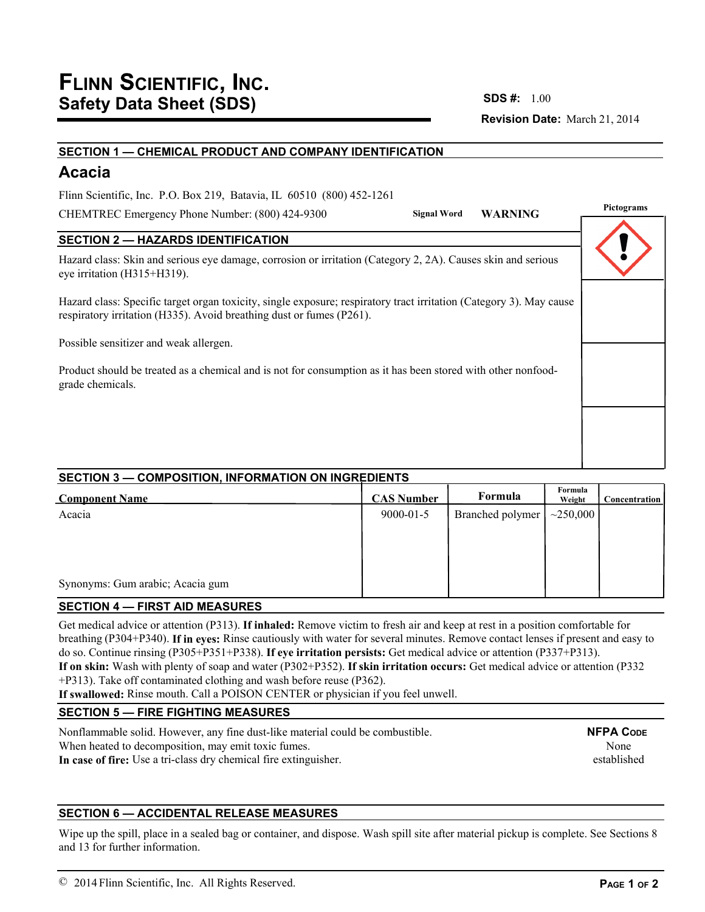**Revision Date:** March 21, 2014 **SDS #:**

#### **SECTION 1 — CHEMICAL PRODUCT AND COMPANY IDENTIFICATION**

# **Acacia**

Flinn Scientific, Inc. P.O. Box 219, Batavia, IL 60510 (800) 452-1261

CHEMTREC Emergency Phone Number: (800) 424-9300

**Pictograms Signal Word WARNING**

# **SECTION 2 — HAZARDS IDENTIFICATION**

Hazard class: Skin and serious eye damage, corrosion or irritation (Category 2, 2A). Causes skin and serious eye irritation (H315+H319).

Hazard class: Specific target organ toxicity, single exposure; respiratory tract irritation (Category 3). May cause respiratory irritation (H335). Avoid breathing dust or fumes (P261).

Possible sensitizer and weak allergen.

Product should be treated as a chemical and is not for consumption as it has been stored with other nonfoodgrade chemicals.

# **SECTION 3 — COMPOSITION, INFORMATION ON INGREDIENTS**

| <b>Component Name</b>            | <b>CAS Number</b> | Formula          | Formula<br>Weight | <b>Concentration</b> |
|----------------------------------|-------------------|------------------|-------------------|----------------------|
| Acacia                           | $9000 - 01 - 5$   | Branched polymer | ~10000            |                      |
|                                  |                   |                  |                   |                      |
|                                  |                   |                  |                   |                      |
|                                  |                   |                  |                   |                      |
| Synonyms: Gum arabic; Acacia gum |                   |                  |                   |                      |

# **SECTION 4 — FIRST AID MEASURES**

Get medical advice or attention (P313). **If inhaled:** Remove victim to fresh air and keep at rest in a position comfortable for breathing (P304+P340). **If in eyes:** Rinse cautiously with water for several minutes. Remove contact lenses if present and easy to do so. Continue rinsing (P305+P351+P338). **If eye irritation persists:** Get medical advice or attention (P337+P313). **If on skin:** Wash with plenty of soap and water (P302+P352). **If skin irritation occurs:** Get medical advice or attention (P332 +P313). Take off contaminated clothing and wash before reuse (P362).

**If swallowed:** Rinse mouth. Call a POISON CENTER or physician if you feel unwell.

# **SECTION 5 — FIRE FIGHTING MEASURES**

Nonflammable solid. However, any fine dust-like material could be combustible. When heated to decomposition, may emit toxic fumes. **In case of fire:** Use a tri-class dry chemical fire extinguisher. **NFPA CODE** None established

# **SECTION 6 — ACCIDENTAL RELEASE MEASURES**

Wipe up the spill, place in a sealed bag or container, and dispose. Wash spill site after material pickup is complete. See Sections 8 and 13 for further information.